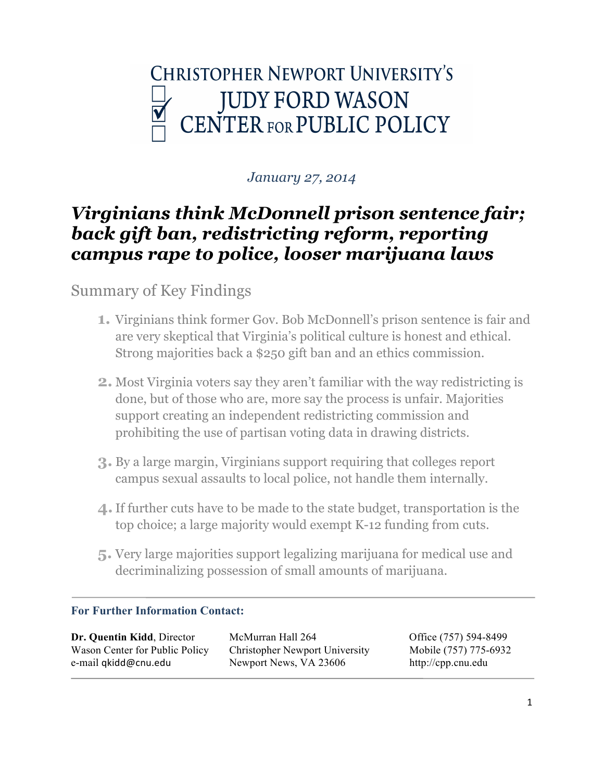

## *January 27, 2014*

# *Virginians think McDonnell prison sentence fair; back gift ban, redistricting reform, reporting campus rape to police, looser marijuana laws*

## Summary of Key Findings

- **1.** Virginians think former Gov. Bob McDonnell's prison sentence is fair and are very skeptical that Virginia's political culture is honest and ethical. Strong majorities back a \$250 gift ban and an ethics commission.
- **2.** Most Virginia voters say they aren't familiar with the way redistricting is done, but of those who are, more say the process is unfair. Majorities support creating an independent redistricting commission and prohibiting the use of partisan voting data in drawing districts.
- **3.** By a large margin, Virginians support requiring that colleges report campus sexual assaults to local police, not handle them internally.
- **4.**If further cuts have to be made to the state budget, transportation is the top choice; a large majority would exempt K-12 funding from cuts.
- **5.** Very large majorities support legalizing marijuana for medical use and decriminalizing possession of small amounts of marijuana.

## **For Further Information Contact:**

**Dr. Quentin Kidd**, Director McMurran Hall 264 Office (757) 594-8499 Wason Center for Public Policy Christopher Newport University Mobile (757) 775-6932 e-mail qkidd@cnu.edu Newport News, VA 23606 http://cpp.cnu.edu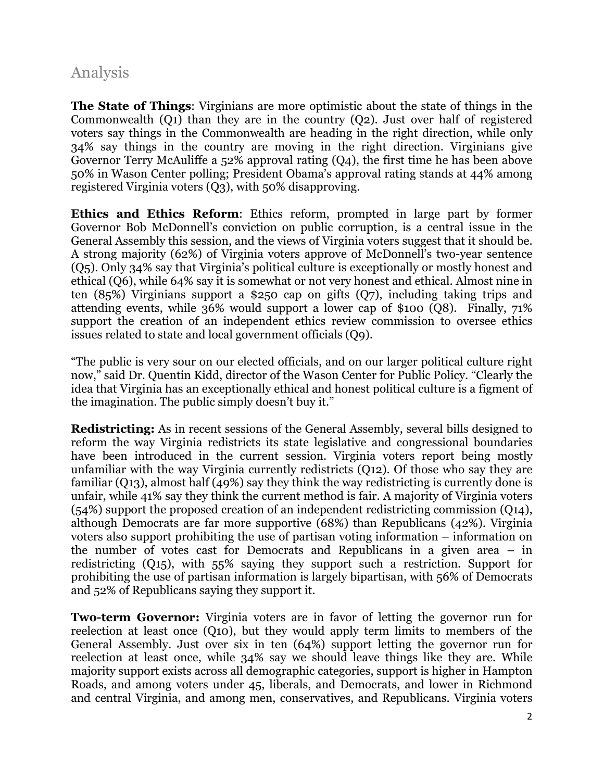## Analysis

**The State of Things**: Virginians are more optimistic about the state of things in the Commonwealth (Q1) than they are in the country (Q2). Just over half of registered voters say things in the Commonwealth are heading in the right direction, while only 34% say things in the country are moving in the right direction. Virginians give Governor Terry McAuliffe a 52% approval rating (Q4), the first time he has been above 50% in Wason Center polling; President Obama's approval rating stands at 44% among registered Virginia voters (Q3), with 50% disapproving.

**Ethics and Ethics Reform**: Ethics reform, prompted in large part by former Governor Bob McDonnell's conviction on public corruption, is a central issue in the General Assembly this session, and the views of Virginia voters suggest that it should be. A strong majority (62%) of Virginia voters approve of McDonnell's two-year sentence (Q5). Only 34% say that Virginia's political culture is exceptionally or mostly honest and ethical (Q6), while 64% say it is somewhat or not very honest and ethical. Almost nine in ten (85%) Virginians support a \$250 cap on gifts (Q7), including taking trips and attending events, while 36% would support a lower cap of \$100 (Q8). Finally, 71% support the creation of an independent ethics review commission to oversee ethics issues related to state and local government officials (Q9).

"The public is very sour on our elected officials, and on our larger political culture right now," said Dr. Quentin Kidd, director of the Wason Center for Public Policy. "Clearly the idea that Virginia has an exceptionally ethical and honest political culture is a figment of the imagination. The public simply doesn't buy it."

**Redistricting:** As in recent sessions of the General Assembly, several bills designed to reform the way Virginia redistricts its state legislative and congressional boundaries have been introduced in the current session. Virginia voters report being mostly unfamiliar with the way Virginia currently redistricts (Q12). Of those who say they are familiar (Q13), almost half (49%) say they think the way redistricting is currently done is unfair, while 41% say they think the current method is fair. A majority of Virginia voters (54%) support the proposed creation of an independent redistricting commission (Q14), although Democrats are far more supportive (68%) than Republicans (42%). Virginia voters also support prohibiting the use of partisan voting information – information on the number of votes cast for Democrats and Republicans in a given area – in redistricting (Q15), with 55% saying they support such a restriction. Support for prohibiting the use of partisan information is largely bipartisan, with 56% of Democrats and 52% of Republicans saying they support it.

**Two-term Governor:** Virginia voters are in favor of letting the governor run for reelection at least once (Q10), but they would apply term limits to members of the General Assembly. Just over six in ten (64%) support letting the governor run for reelection at least once, while 34% say we should leave things like they are. While majority support exists across all demographic categories, support is higher in Hampton Roads, and among voters under 45, liberals, and Democrats, and lower in Richmond and central Virginia, and among men, conservatives, and Republicans. Virginia voters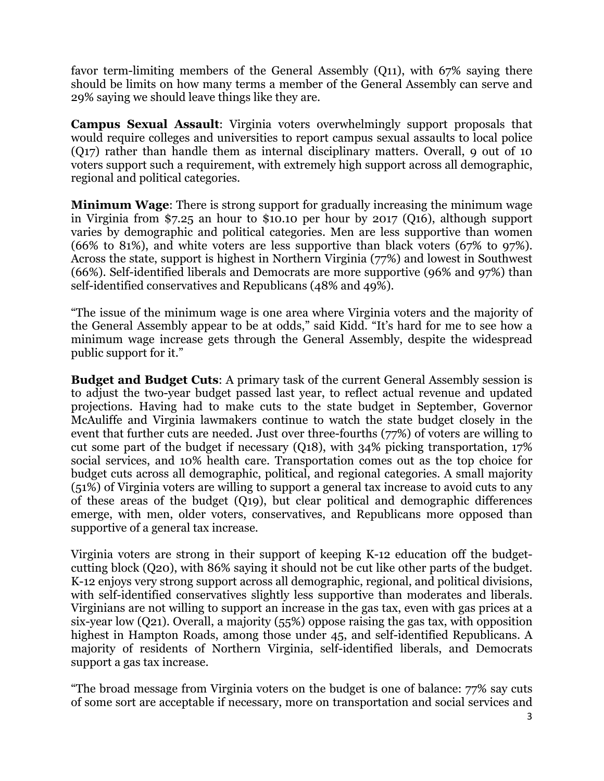favor term-limiting members of the General Assembly (Q11), with 67% saying there should be limits on how many terms a member of the General Assembly can serve and 29% saying we should leave things like they are.

**Campus Sexual Assault**: Virginia voters overwhelmingly support proposals that would require colleges and universities to report campus sexual assaults to local police (Q17) rather than handle them as internal disciplinary matters. Overall, 9 out of 10 voters support such a requirement, with extremely high support across all demographic, regional and political categories.

**Minimum Wage**: There is strong support for gradually increasing the minimum wage in Virginia from \$7.25 an hour to \$10.10 per hour by 2017 (Q16), although support varies by demographic and political categories. Men are less supportive than women (66% to 81%), and white voters are less supportive than black voters (67% to 97%). Across the state, support is highest in Northern Virginia (77%) and lowest in Southwest (66%). Self-identified liberals and Democrats are more supportive (96% and 97%) than self-identified conservatives and Republicans (48% and 49%).

"The issue of the minimum wage is one area where Virginia voters and the majority of the General Assembly appear to be at odds," said Kidd. "It's hard for me to see how a minimum wage increase gets through the General Assembly, despite the widespread public support for it."

**Budget and Budget Cuts**: A primary task of the current General Assembly session is to adjust the two-year budget passed last year, to reflect actual revenue and updated projections. Having had to make cuts to the state budget in September, Governor McAuliffe and Virginia lawmakers continue to watch the state budget closely in the event that further cuts are needed. Just over three-fourths (77%) of voters are willing to cut some part of the budget if necessary (Q18), with 34% picking transportation, 17% social services, and 10% health care. Transportation comes out as the top choice for budget cuts across all demographic, political, and regional categories. A small majority (51%) of Virginia voters are willing to support a general tax increase to avoid cuts to any of these areas of the budget (Q19), but clear political and demographic differences emerge, with men, older voters, conservatives, and Republicans more opposed than supportive of a general tax increase.

Virginia voters are strong in their support of keeping K-12 education off the budgetcutting block (Q20), with 86% saying it should not be cut like other parts of the budget. K-12 enjoys very strong support across all demographic, regional, and political divisions, with self-identified conservatives slightly less supportive than moderates and liberals. Virginians are not willing to support an increase in the gas tax, even with gas prices at a six-year low (Q21). Overall, a majority (55%) oppose raising the gas tax, with opposition highest in Hampton Roads, among those under 45, and self-identified Republicans. A majority of residents of Northern Virginia, self-identified liberals, and Democrats support a gas tax increase.

"The broad message from Virginia voters on the budget is one of balance: 77% say cuts of some sort are acceptable if necessary, more on transportation and social services and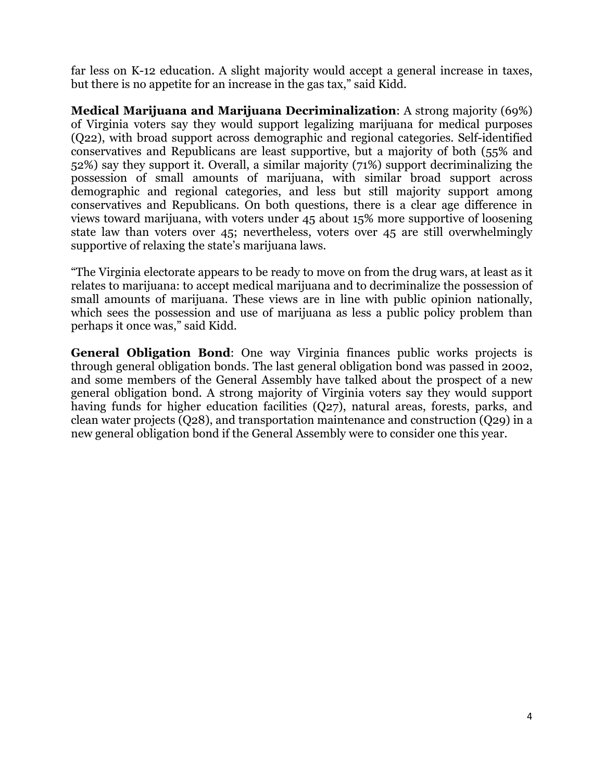far less on K-12 education. A slight majority would accept a general increase in taxes, but there is no appetite for an increase in the gas tax," said Kidd.

**Medical Marijuana and Marijuana Decriminalization**: A strong majority (69%) of Virginia voters say they would support legalizing marijuana for medical purposes (Q22), with broad support across demographic and regional categories. Self-identified conservatives and Republicans are least supportive, but a majority of both (55% and 52%) say they support it. Overall, a similar majority (71%) support decriminalizing the possession of small amounts of marijuana, with similar broad support across demographic and regional categories, and less but still majority support among conservatives and Republicans. On both questions, there is a clear age difference in views toward marijuana, with voters under 45 about 15% more supportive of loosening state law than voters over 45; nevertheless, voters over 45 are still overwhelmingly supportive of relaxing the state's marijuana laws.

"The Virginia electorate appears to be ready to move on from the drug wars, at least as it relates to marijuana: to accept medical marijuana and to decriminalize the possession of small amounts of marijuana. These views are in line with public opinion nationally, which sees the possession and use of marijuana as less a public policy problem than perhaps it once was," said Kidd.

**General Obligation Bond**: One way Virginia finances public works projects is through general obligation bonds. The last general obligation bond was passed in 2002, and some members of the General Assembly have talked about the prospect of a new general obligation bond. A strong majority of Virginia voters say they would support having funds for higher education facilities (Q27), natural areas, forests, parks, and clean water projects (Q28), and transportation maintenance and construction (Q29) in a new general obligation bond if the General Assembly were to consider one this year.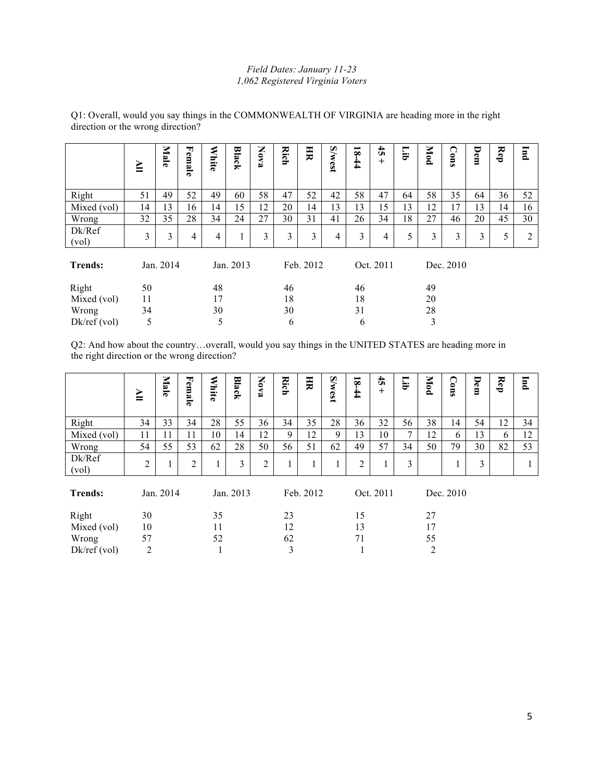#### *Field Dates: January 11-23 1,062 Registered Virginia Voters*

|                 | ≧  | Male      | Female | <b>White</b> | Black     | <b>Nova</b> | Rich | H         | <b>S/west</b> | $\overline{\mathbf{8}}$<br>$+1$ | $\ddot{\vec{v}}$<br>$+$ | Гijр | Mod | Cons      | Dem | Rep | <b>Ind</b> |
|-----------------|----|-----------|--------|--------------|-----------|-------------|------|-----------|---------------|---------------------------------|-------------------------|------|-----|-----------|-----|-----|------------|
| Right           | 51 | 49        | 52     | 49           | 60        | 58          | 47   | 52        | 42            | 58                              | 47                      | 64   | 58  | 35        | 64  | 36  | 52         |
| Mixed (vol)     | 14 | 13        | 16     | 14           | 15        | 12          | 20   | 14        | 13            | 13                              | 15                      | 13   | 12  | 17        | 13  | 14  | 16         |
| Wrong           | 32 | 35        | 28     | 34           | 24        | 27          | 30   | 31        | 41            | 26                              | 34                      | 18   | 27  | 46        | 20  | 45  | 30         |
| Dk/Ref<br>(vol) | 3  | 3         | 4      | 4            |           | 3           | 3    | 3         | 4             | 3                               | 4                       | 5    | 3   | 3         | 3   | 5   | 2          |
| <b>Trends:</b>  |    | Jan. 2014 |        |              | Jan. 2013 |             |      | Feb. 2012 |               |                                 | Oct. 2011               |      |     | Dec. 2010 |     |     |            |
| Right           | 50 |           |        | 48           |           |             | 46   |           |               | 46                              |                         |      | 49  |           |     |     |            |
| Mixed (vol)     | 11 |           |        | 17           |           |             | 18   |           |               | 18                              |                         |      | 20  |           |     |     |            |
| Wrong           | 34 |           |        | 30           |           |             | 30   |           |               | 31                              |                         |      | 28  |           |     |     |            |
| $Dk$ /ref (vol) | 5  |           |        | 5            |           |             | 6    |           |               | 6                               |                         |      | 3   |           |     |     |            |

Q1: Overall, would you say things in the COMMONWEALTH OF VIRGINIA are heading more in the right direction or the wrong direction?

Q2: And how about the country…overall, would you say things in the UNITED STATES are heading more in the right direction or the wrong direction?

|                 |                |           |                |              |           |      | Rich | 買         |               |                | $\ddot{t}$ | Ēі | Mod            |                    | Dem | Rep | $\overline{\mathbf{u}}$ |
|-----------------|----------------|-----------|----------------|--------------|-----------|------|------|-----------|---------------|----------------|------------|----|----------------|--------------------|-----|-----|-------------------------|
|                 | ≧              | Male      | Female         | <b>White</b> | Black     | Nova |      |           | <b>S/west</b> | $18 - 44$      | $^{+}$     |    |                | Cons               |     |     |                         |
| Right           | 34             | 33        | 34             | 28           | 55        | 36   | 34   | 35        | 28            | 36             | 32         | 56 | 38             | 14                 | 54  | 12  | 34                      |
| Mixed (vol)     | 11             | 11        | 11             | 10           | 14        | 12   | 9    | 12        | 9             | 13             | 10         | 7  | 12             | 6                  | 13  | 6   | 12                      |
| Wrong           | 54             | 55        | 53             | 62           | 28        | 50   | 56   | 51        | 62            | 49             | 57         | 34 | 50             | 79                 | 30  | 82  | 53                      |
| Dk/Ref<br>(vol) | $\overline{2}$ |           | $\overline{2}$ | 1            | 3         | 2    |      | Ι.        |               | $\overline{2}$ |            | 3  |                | $\mathbf{1}$<br>Τ. | 3   |     |                         |
| <b>Trends:</b>  |                | Jan. 2014 |                |              | Jan. 2013 |      |      | Feb. 2012 |               |                | Oct. 2011  |    |                | Dec. 2010          |     |     |                         |
| Right           | 30             |           |                | 35           |           |      | 23   |           |               | 15             |            |    | 27             |                    |     |     |                         |
| Mixed (vol)     | 10             |           |                | 11           |           |      | 12   |           |               | 13             |            |    | 17             |                    |     |     |                         |
| Wrong           | 57             |           |                | 52           |           |      | 62   |           |               | 71             |            |    | 55             |                    |     |     |                         |
| $Dk$ /ref (vol) | 2              |           |                |              |           |      | 3    |           |               |                |            |    | $\overline{c}$ |                    |     |     |                         |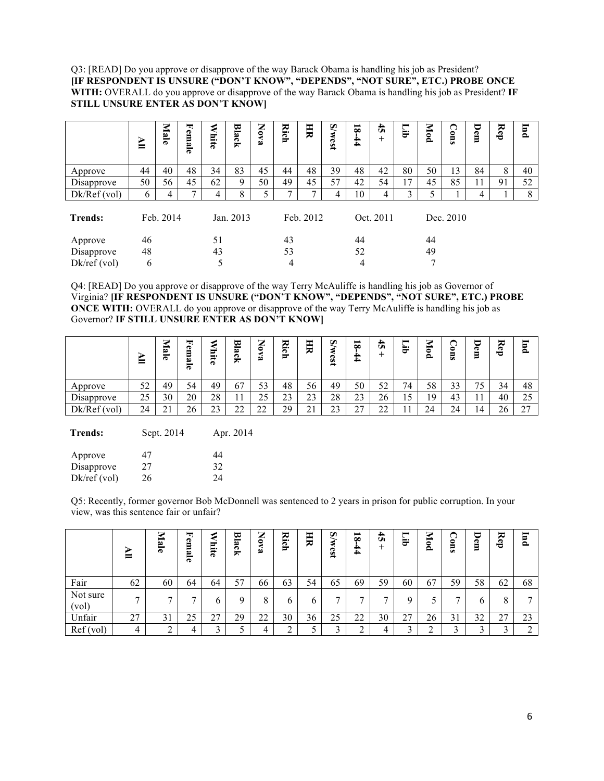Q3: [READ] Do you approve or disapprove of the way Barack Obama is handling his job as President? **[IF RESPONDENT IS UNSURE ("DON'T KNOW", "DEPENDS", "NOT SURE", ETC.) PROBE ONCE WITH:** OVERALL do you approve or disapprove of the way Barack Obama is handling his job as President? **IF STILL UNSURE ENTER AS DON'T KNOW]**

|                | ≧  | Male      | u,<br><sup>'</sup> emale | <b>White</b> | Black     | Nova | Rich | 月         | <b>S/west</b> | $\overline{8}$<br>$\frac{4}{4}$ | $\ddot{5}$<br>$^{+}$ | Гib | Mod | Cons      | Dem | Rep | <b>Ind</b> |
|----------------|----|-----------|--------------------------|--------------|-----------|------|------|-----------|---------------|---------------------------------|----------------------|-----|-----|-----------|-----|-----|------------|
| Approve        | 44 | 40        | 48                       | 34           | 83        | 45   | 44   | 48        | 39            | 48                              | 42                   | 80  | 50  | 13        | 84  | 8   | 40         |
| Disapprove     | 50 | 56        | 45                       | 62           | 9         | 50   | 49   | 45        | 57            | 42                              | 54                   | 17  | 45  | 85        | 11  | 91  | 52         |
| Dk/Ref (vol)   | 6  | 4         | 7                        | 4            | 8         | 5    |      |           | 4             | 10                              | 4                    | 3   | 5   |           | 4   |     | 8          |
| <b>Trends:</b> |    | Feb. 2014 |                          |              | Jan. 2013 |      |      | Feb. 2012 |               |                                 | Oct. 2011            |     |     | Dec. 2010 |     |     |            |
| Approve        | 46 |           |                          | 51           |           |      | 43   |           |               | 44                              |                      |     | 44  |           |     |     |            |
| Disapprove     | 48 |           |                          | 43           |           |      | 53   |           |               | 52                              |                      |     | 49  |           |     |     |            |
| Dk/ref(vol)    | 6  |           |                          | 5            |           |      | 4    |           |               | 4                               |                      |     | 7   |           |     |     |            |

Q4: [READ] Do you approve or disapprove of the way Terry McAuliffe is handling his job as Governor of Virginia? **[IF RESPONDENT IS UNSURE ("DON'T KNOW", "DEPENDS", "NOT SURE", ETC.) PROBE ONCE WITH:** OVERALL do you approve or disapprove of the way Terry McAuliffe is handling his job as Governor? **IF STILL UNSURE ENTER AS DON'T KNOW]**

|              | -<br>-    | ▭<br>−<br>∾<br>−<br>ొ | 로<br>o<br>ñ۹<br>œ | ∍<br>--<br>−<br>Õ | ᆓ<br>ڡ<br>ິ<br>∽ | 宝<br>-<br>$\bullet$<br>ئم | ≂<br>--<br>౧<br>≖  | Ħ               | $\boldsymbol{\omega}$<br>٤<br>ക<br>ھت<br>$\rightarrow$ | ▬<br>$\infty$<br>4 | ↵<br>Ü      | U          | ⇁<br>-<br>Ξ. | ≏<br>-<br>믕 | -<br>æ  | ≂<br>å         | 冒<br>≏                   |
|--------------|-----------|-----------------------|-------------------|-------------------|------------------|---------------------------|--------------------|-----------------|--------------------------------------------------------|--------------------|-------------|------------|--------------|-------------|---------|----------------|--------------------------|
| Approve      | 52<br>ے ر | 49                    | 54                | 49                | 67               | 53                        | 48                 | 56              | 49                                                     | 50                 | 52          | 74         | 58           | 33          | –<br>כ' | 34             | 48                       |
| Disapprove   | 25        | 30                    | 20                | 28                |                  | ل کے                      | $\mathbf{A}$<br>23 | $\sim$<br>ر ب   | 28                                                     | 23                 | 26          | 15         | 19           | 43          |         | 40             | 25                       |
| Dk/Ref (vol) | 24        | $^{\sim}$ 1<br>∠ ⊥    | $\sim$<br>26      | $\sim$<br>ر بے    | nη<br>∼          | $\sim$<br>-               | 29                 | $\sim$ 1<br>∠ ⊥ | $\sim$<br><u>_</u>                                     | $\sim$<br>∠        | $\sim$<br>∸ | - 1<br>. . | 24           | 24          | 14      | 2 <sub>c</sub> | $\sim$<br>$\overline{a}$ |

**Trends:** Sept. 2014 Apr. 2014

| Approve     | 47 | 44 |
|-------------|----|----|
| Disapprove  | 27 | 32 |
| Dk/ref(vol) | 26 | 24 |

Q5: Recently, former governor Bob McDonnell was sentenced to 2 years in prison for public corruption. In your view, was this sentence fair or unfair?

|                   | ∼<br>ᆖ         | ≂<br>⇒<br>ىم<br>ಕ | 뇌<br>em<br>B<br>ਨ | ರ್<br>⊨.<br>ನ | ಹ<br>B<br>స<br>≂ | ⇁<br>◢<br>۰<br>ھ | ≂<br>న.<br>$\blacksquare$ | 크            | <b>S/w</b><br>tsa, | ▬<br>$\infty$<br>-<br>4 | 4<br>Ü<br>∸ | Ë      | Z,<br>0<br>Ō. | ◠<br>0<br>50 | ੮<br>o<br>Ξ  | ≂<br>eb | F<br>≏ |
|-------------------|----------------|-------------------|-------------------|---------------|------------------|------------------|---------------------------|--------------|--------------------|-------------------------|-------------|--------|---------------|--------------|--------------|---------|--------|
| Fair              | 62             | 60                | 64                | 64            | 57               | 66               | 63                        | 54           | 65                 | 69                      | 59          | 60     | 67            | 59           | 58           | 62      | 68     |
| Not sure<br>(vol) | $\overline{ }$ | ⇁                 | −                 | h             | u.               | 8                | n                         | <sub>b</sub> | −                  | −                       | −           |        |               | ⇁            | <sub>0</sub> | 8       |        |
| Unfair            | 27             | 31                | 25                | 27            | 29               | 22               | 30                        | 36           | 25                 | 22                      | 30          | 27     | 26            | 31           | 32           | 27      | 23     |
| Ref(vol)          | 4              | ⌒<br>∠            | 4                 | ◠             |                  | 4                |                           |              |                    | ∠                       | 4           | $\sim$ | ◠<br>∸        | ◠            |              |         | ∠      |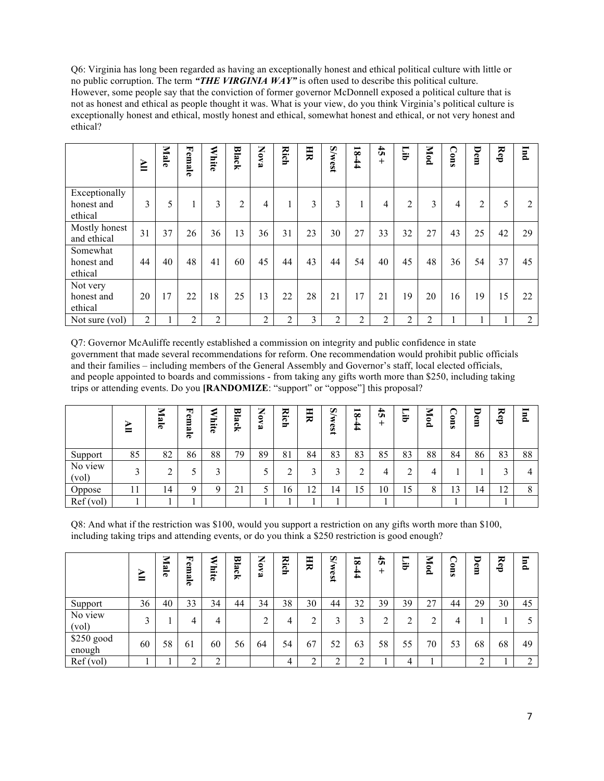Q6: Virginia has long been regarded as having an exceptionally honest and ethical political culture with little or no public corruption. The term *"THE VIRGINIA WAY"* is often used to describe this political culture. However, some people say that the conviction of former governor McDonnell exposed a political culture that is not as honest and ethical as people thought it was. What is your view, do you think Virginia's political culture is exceptionally honest and ethical, mostly honest and ethical, somewhat honest and ethical, or not very honest and ethical?

|                                        | ≧  | Male | Female         | <b>White</b>   | Black | Nova | Rich           | H  | <b>S/west</b>  | $\overline{\mathbf{8}}$<br>$-44$ | $\ddot{t}$<br>$^{+}$ | Гib            | Mod            | Cons | Dem | Rep | <b>Ind</b> |
|----------------------------------------|----|------|----------------|----------------|-------|------|----------------|----|----------------|----------------------------------|----------------------|----------------|----------------|------|-----|-----|------------|
| Exceptionally<br>honest and<br>ethical | 3  | 5    | 1              | 3              | 2     | 4    |                | 3  | 3              |                                  | 4                    | $\overline{2}$ | 3              | 4    | 2   | 5   | 2          |
| Mostly honest<br>and ethical           | 31 | 37   | 26             | 36             | 13    | 36   | 31             | 23 | 30             | 27                               | 33                   | 32             | 27             | 43   | 25  | 42  | 29         |
| Somewhat<br>honest and<br>ethical      | 44 | 40   | 48             | 41             | 60    | 45   | 44             | 43 | 44             | 54                               | 40                   | 45             | 48             | 36   | 54  | 37  | 45         |
| Not very<br>honest and<br>ethical      | 20 | 17   | 22             | 18             | 25    | 13   | 22             | 28 | 21             | 17                               | 21                   | 19             | 20             | 16   | 19  | 15  | 22         |
| Not sure (vol)                         | 2  |      | $\overline{2}$ | $\overline{2}$ |       | 2    | $\mathfrak{D}$ | 3  | $\mathfrak{D}$ | 2                                | 2                    | $\overline{2}$ | $\overline{2}$ |      |     |     | 2          |

Q7: Governor McAuliffe recently established a commission on integrity and public confidence in state government that made several recommendations for reform. One recommendation would prohibit public officials and their families – including members of the General Assembly and Governor's staff, local elected officials, and people appointed to boards and commissions - from taking any gifts worth more than \$250, including taking trips or attending events. Do you **[RANDOMIZE**: "support" or "oppose"] this proposal?

|                  | ₻<br>ᆖ | ⇁<br>$\overline{\mathbf{c}}$<br>۳ | u,<br>Φ<br>Ξ<br>B<br>Φ | σ<br>- -<br>ಸ | 모<br>B<br>౧<br>≂ | ⇁<br>▰<br>$\bullet$<br>ه | ≂<br>н.<br>ా<br>U | 月                   | Q<br>٤<br>189 | $\overline{\mathbf{8}}$<br>-<br>4 | $\frac{4}{5}$ | ▬<br>∼<br>₩ | 7<br>ਛੋ<br>ం | ⌒<br>◟<br>0<br>5<br>من | ⋷<br>Φ<br>Ξ | ≂<br>å | F<br>≏ |
|------------------|--------|-----------------------------------|------------------------|---------------|------------------|--------------------------|-------------------|---------------------|---------------|-----------------------------------|---------------|-------------|--------------|------------------------|-------------|--------|--------|
| Support          | 85     | 82                                | 86                     | 88            | 79               | 89                       | 81                | 84                  | 83            | 83                                | 85            | 83          | 88           | 84                     | 86          | 83     | 88     |
| No view<br>(vol) | $\sim$ | ◠                                 |                        | ◠             |                  |                          |                   | ⌒                   | ⌒             |                                   | 4             | $\sim$      | 4            |                        |             |        | 4      |
| Oppose           | 1 L    | 14                                | Q                      | Q             | 21               |                          | 16                | ာ<br>$\overline{1}$ | 14            | 15                                | 10            | 15          | 8            | 13                     | 14          | 12     | 8      |
| Ref(vol)         |        |                                   |                        |               |                  |                          |                   |                     |               |                                   |               |             |              |                        |             |        |        |

Q8: And what if the restriction was \$100, would you support a restriction on any gifts worth more than \$100, including taking trips and attending events, or do you think a \$250 restriction is good enough?

|                      | ⋗<br>⊨ | Male | 句<br>em<br>Ö<br>Ð | <b>hite</b>   | Bla<br>čķ | $\mathbf{S}$<br>≺<br>فە | 2<br>ဌ | H      | <b>S/west</b> | $\overline{\mathbf{8}}$<br>44 | $\ddot{\mathbf{r}}$<br>$\overline{+}$ | ⊨<br>Ħ | Mod    | ◠<br>$\sin 0$ | U<br>Ē | ≂<br>Ê | <b>F</b> |
|----------------------|--------|------|-------------------|---------------|-----------|-------------------------|--------|--------|---------------|-------------------------------|---------------------------------------|--------|--------|---------------|--------|--------|----------|
| Support              | 36     | 40   | 33                | 34            | 44        | 34                      | 38     | 30     | 44            | 32                            | 39                                    | 39     | 27     | 44            | 29     | 30     | 45       |
| No view<br>(vol)     | 3      |      | 4                 | 4             |           |                         | 4      | ◠      | 3             |                               |                                       | ◠      | ∍<br>∠ | 4             |        |        | 5        |
| \$250 good<br>enough | 60     | 58   | 61                | 60            | 56        | 64                      | 54     | 67     | 52            | 63                            | 58                                    | 55     | 70     | 53            | 68     | 68     | 49       |
| Ref(vol)             |        |      | $\bigcap$<br>∠    | ി<br>$\angle$ |           |                         | 4      | ◠<br>∠ |               | ◠<br>∠                        |                                       | 4      |        |               | ◠      |        | 2        |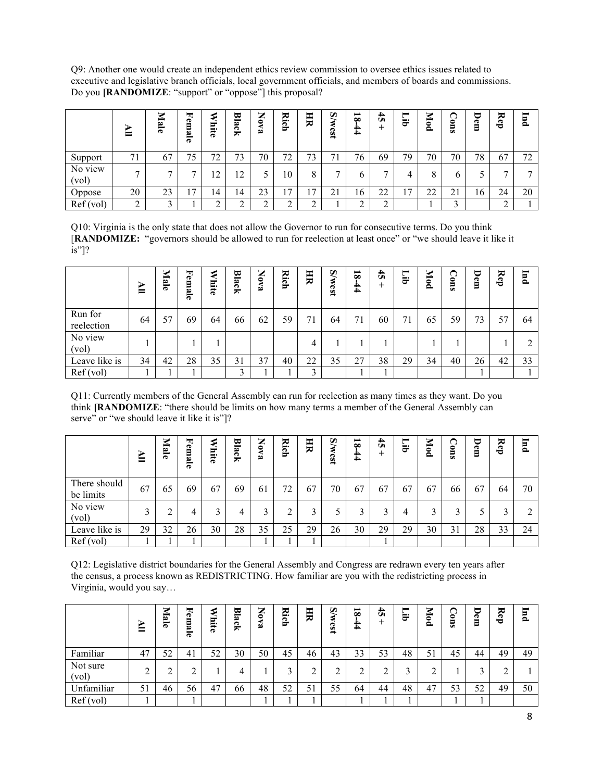Q9: Another one would create an independent ethics review commission to oversee ethics issues related to executive and legislative branch officials, local government officials, and members of boards and commissions. Do you **[RANDOMIZE**: "support" or "oppose"] this proposal?

|                  | ᆖ              | Ċ.<br>$\overline{a}$ | 피<br>Φ<br>Ξ<br>B<br>ౚ | --<br>గౌ | 모<br>B<br>౧<br>× | ⇁<br>▰<br>0<br>ه | 짅<br>ణ<br>F    | 月                             | Q<br>189 | $\overline{\mathbf{s}}$<br>↖<br>4 | 4<br>Ü | ▬<br>È               | 7<br>కె<br>$\circ$ | 0<br>5<br>من | Ð<br>Ξ | ≂<br>å | F<br>≏ |
|------------------|----------------|----------------------|-----------------------|----------|------------------|------------------|----------------|-------------------------------|----------|-----------------------------------|--------|----------------------|--------------------|--------------|--------|--------|--------|
| Support          | 71             | 67                   | 75                    | 72<br>∠  | 73               | 70               | 72<br>∸        | $\overline{\phantom{a}}$<br>Ć | ⇁        | 76                                | 69     | 79                   | 70                 | 70           | 78     | 67     | 72     |
| No view<br>(vol) | $\overline{ }$ | −                    | -                     | 12       | 12 <sub>1</sub>  |                  | 10             |                               | −        |                                   | −      |                      | 8                  | b            |        |        | -      |
| Oppose           | 20             | 23                   | 7                     | 14       | 14               | 23               | $\overline{ }$ | ⇁                             | 21       | 16                                | 22     | $\overline{ }$<br>., | າາ<br>∠∠           | 21           | 16     | 24     | 20     |
| Ref(vol)         | $\sim$         | ⌒                    |                       | ◠        |                  | ◠                |                |                               |          |                                   | ◠      |                      |                    | $\bigcap$    |        | ◠      |        |

Q10: Virginia is the only state that does not allow the Governor to run for consecutive terms. Do you think [**RANDOMIZE:** "governors should be allowed to run for reelection at least once" or "we should leave it like it is"]?

|                       | ⋗<br>⋿ | Male | Female | €<br>liite | Black        | z<br>$\boldsymbol{\lambda}$<br>فع | Rich | H                       | <b>S/west</b> | $\overline{\mathbf{8}}$<br>$\bf{4}$ | $\ddot{a}$<br>+ | $\blacksquare$<br>ਦੋ | Mod | ◠<br>$\sin$ | U<br>Φ<br>Ξ | Rep | <b>Ind</b> |
|-----------------------|--------|------|--------|------------|--------------|-----------------------------------|------|-------------------------|---------------|-------------------------------------|-----------------|----------------------|-----|-------------|-------------|-----|------------|
| Run for<br>reelection | 64     | 57   | 69     | 64         | 66           | 62                                | 59   | 71                      | 64            | 71                                  | 60              | 71                   | 65  | 59          | 73          | 57  | 64         |
| No view<br>(vol)      |        |      |        |            |              |                                   |      | 4                       |               |                                     |                 |                      |     |             |             |     | ↑<br>∠     |
| Leave like is         | 34     | 42   | 28     | 35         | 31           | 37                                | 40   | 22                      | 35            | 27                                  | 38              | 29                   | 34  | 40          | 26          | 42  | 33         |
| Ref(vol)              |        |      |        |            | $\mathbf{c}$ |                                   |      | $\mathbf{\overline{3}}$ |               |                                     |                 |                      |     |             |             |     |            |

Q11: Currently members of the General Assembly can run for reelection as many times as they want. Do you think **[RANDOMIZE**: "there should be limits on how many terms a member of the General Assembly can serve" or "we should leave it like it is"]?

|                           | ⋗<br>⋿ | Mal<br>e | Fem<br>B<br>$\overline{a}$ | lnite | 멷<br>ئة<br>ğ | z<br>$\bullet$<br>ه | Σ.<br><u>ie</u> | HR | <b>S/west</b> | $\overline{\mathbf{8}}$<br>44 | $\frac{4}{5}$ | −<br>ਦੋਂ | Mod | Cons | U<br>Φ<br>Ξ | ≂<br>Ê | $\overline{p}$ |
|---------------------------|--------|----------|----------------------------|-------|--------------|---------------------|-----------------|----|---------------|-------------------------------|---------------|----------|-----|------|-------------|--------|----------------|
| There should<br>be limits | 67     | 65       | 69                         | 67    | 69           | 61                  | 72              | 67 | 70            | 67                            | 67            | 67       | 67  | 66   | 67          | 64     | 70             |
| No view<br>(vol)          | ↑      |          | 4                          | 3     | 4            |                     |                 |    |               |                               | 3             | 4        | 3   | 3    |             |        | 2              |
| Leave like is             | 29     | 32       | 26                         | 30    | 28           | 35                  | 25              | 29 | 26            | 30                            | 29            | 29       | 30  | 31   | 28          | 33     | 24             |
| Ref (vol)                 |        |          |                            |       |              |                     |                 |    |               |                               |               |          |     |      |             |        |                |

Q12: Legislative district boundaries for the General Assembly and Congress are redrawn every ten years after the census, a process known as REDISTRICTING. How familiar are you with the redistricting process in Virginia, would you say…

|                   | ⋗<br>⋿ | ⋝<br>Lal<br>۳ | 뇌<br>o<br>E<br>S<br>൹ | Ε.<br>ನ | ₩<br>冒<br>౧<br>≂ | ⇁<br>◢<br>۰<br>B | ≂<br>-⊷<br>ဠ | H  | S<br>₹<br>189 | $\overline{\mathbf{8}}$<br>4<br>4 | 45 | ▬<br>a.           | ⋝<br>ಕ<br>٥ | o<br>∊<br>من | J<br>Φ<br>Ξ | ≂<br>$\bullet$<br>Ö | F<br>$\bar{\mathbf{a}}$ |
|-------------------|--------|---------------|-----------------------|---------|------------------|------------------|--------------|----|---------------|-----------------------------------|----|-------------------|-------------|--------------|-------------|---------------------|-------------------------|
| Familiar          | 47     | 52            | 41                    | 52      | 30               | 50               | 45           | 46 | 43            | 33                                | 53 | 48                | 51          | 45           | 44          | 49                  | 49                      |
| Not sure<br>(vol) | ◠      | ◠<br>∽        | ◠                     |         | 4                |                  |              |    | ◠             |                                   |    | $\mathbf{\Omega}$ | ◠           |              | 2           |                     |                         |
| Unfamiliar        | 51     | 46            | 56                    | 47      | 66               | 48               | 52           | 51 | 55            | 64                                | 44 | 48                | 47          | 53           | 52          | 49                  | 50                      |
| Ref(vol)          |        |               |                       |         |                  |                  |              |    |               |                                   |    |                   |             |              |             |                     |                         |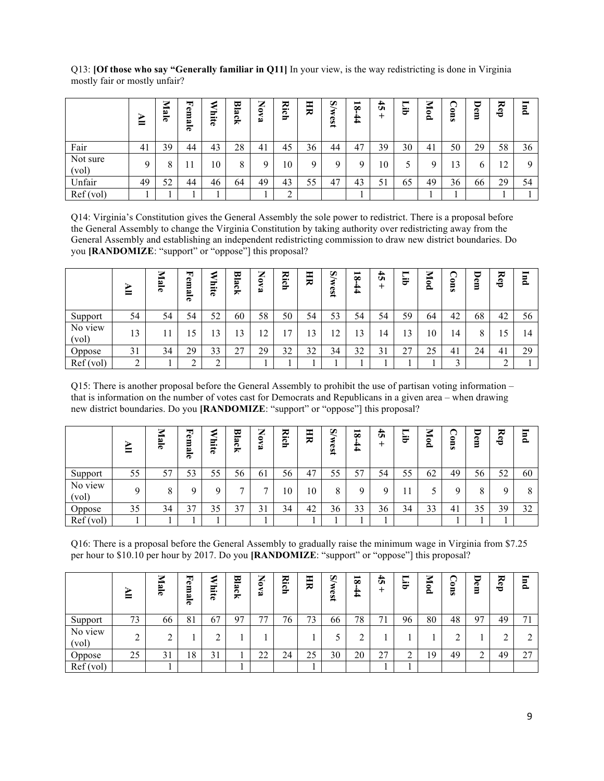Q13: **[Of those who say "Generally familiar in Q11]** In your view, is the way redistricting is done in Virginia mostly fair or mostly unfair?

|                   | ⋗<br>⊨ | Male | 피<br>P<br>Ξ<br>B<br>ౚ | Ξ.<br>ਨ | ₩<br>$\ddot{a}$<br>్<br>≂ | ⇁<br>◢<br>$\bullet$<br>B | 콙<br>ဠ | 크  | S/w<br>$\overline{\text{es}}$ | $\overline{\mathbf{8}}$<br>44 | $\ddot{\mathbf{5}}$ | -<br>Ħ | Mod | n<br>0<br>5<br>من | ⋷<br>Φ<br>Β | Rep                  | 冒<br>$\bullet$ |
|-------------------|--------|------|-----------------------|---------|---------------------------|--------------------------|--------|----|-------------------------------|-------------------------------|---------------------|--------|-----|-------------------|-------------|----------------------|----------------|
| Fair              | 41     | 39   | 44                    | 43      | 28                        | 41                       | 45     | 36 | 44                            | 47                            | 39                  | 30     | 41  | 50                | 29          | 58                   | 36             |
| Not sure<br>(vol) |        | 8    |                       | 10      | 8                         | Q                        | 10     |    | Q                             |                               | 10                  |        | Q   | 13                | O           | $\overline{2}$<br>14 | Q              |
| Unfair            | 49     | 52   | 44                    | 46      | 64                        | 49                       | 43     | 55 | 47                            | 43                            | 51                  | 65     | 49  | 36                | 66          | 29                   | 54             |
| Ref(vol)          |        |      |                       |         |                           |                          | ◠      |    |                               |                               |                     |        |     |                   |             |                      |                |

Q14: Virginia's Constitution gives the General Assembly the sole power to redistrict. There is a proposal before the General Assembly to change the Virginia Constitution by taking authority over redistricting away from the General Assembly and establishing an independent redistricting commission to draw new district boundaries. Do you **[RANDOMIZE**: "support" or "oppose"] this proposal?

|                  | ↘<br>= | ⇁<br>Ξ<br>ਨ | ᆋ<br>Φ<br>Ξ<br>œ<br>$\overline{\bf e}$ | కా<br>-<br>⇔<br>Õ | ₩<br>冒<br>ή, | ⇁<br>▰<br>$\bullet$<br>فط | Σ.<br>౧<br>F | 크  | $\widetilde{\bm{\delta}}$<br>⋞<br>tsa | $\overline{\mathbf{8}}$<br>4 | 4<br>Ü | −<br>È               | ⋝<br>ಕ<br>ం | 0<br>뭉 | ∊<br>Φ<br>Ξ | ≂<br>å | F<br>≏ |
|------------------|--------|-------------|----------------------------------------|-------------------|--------------|---------------------------|--------------|----|---------------------------------------|------------------------------|--------|----------------------|-------------|--------|-------------|--------|--------|
| Support          | 54     | 54          | 54                                     | 52                | 60           | 58                        | 50           | 54 | 53                                    | 54                           | 54     | 59                   | 64          | 42     | 68          | 42     | 56     |
| No view<br>(vol) | 13     |             | 15                                     | 3                 | $\mathbf{R}$ | ി                         | −            | 3  | $\sqrt{2}$<br>$\overline{1}$          | 13                           | 14     | 13                   | 10          | 14     | 8           | 15     | 14     |
| Oppose           | 31     | 34          | 29                                     | 33                | 27           | 29                        | 32           | 32 | 34                                    | 32                           | 31     | 27<br>$\overline{2}$ | 25          | 41     | 24          | 41     | 29     |
| Ref(vol)         | ◠<br>∸ |             | ◠<br>∠                                 | ◠<br>∸            |              |                           |              |    |                                       |                              |        |                      |             | ◠<br>◡ |             | ◠      |        |

Q15: There is another proposal before the General Assembly to prohibit the use of partisan voting information – that is information on the number of votes cast for Democrats and Republicans in a given area – when drawing new district boundaries. Do you **[RANDOMIZE**: "support" or "oppose"] this proposal?

|                  | ⋗<br>ᆖ | ⇁<br>$\overline{5}$<br>ਨ | ᆋ<br>Ê<br>B<br>ಕ | ಕ<br>$\blacksquare$<br>ನ | 멷<br>مە<br>౧<br>≂ | ⇁<br>▰<br>$\bullet$<br>فط | ≂<br>$- \cdot$<br><u>ie</u> | 크  | S<br>530 | ▬<br>$\infty$<br>44 | 4<br>Ü | −<br>U | ⋝<br>è<br>௨ | ◠<br>∊<br>من | U<br>P<br>Ξ | ≂<br>O<br>ی | F<br>௨ |
|------------------|--------|--------------------------|------------------|--------------------------|-------------------|---------------------------|-----------------------------|----|----------|---------------------|--------|--------|-------------|--------------|-------------|-------------|--------|
| Support          | 55     | 57                       | 53               | 55                       | 56                | 61                        | 56                          | 47 | 55       | 57                  | 54     | 55     | 62          | 49           | 56          | 52          | 60     |
| No view<br>(vol) | Q      |                          | O                | Q                        | ⇁                 |                           | 10                          | 10 | 8        |                     |        |        |             | u            | 8           | Q           | 8      |
| Oppose           | 35     | 34                       | 37               | 35                       | 37                | 31                        | 34                          | 42 | 36       | 33                  | 36     | 34     | 33          | 41           | 35          | 39          | 32     |
| Ref(vol)         |        |                          |                  |                          |                   |                           |                             |    |          |                     |        |        |             |              |             |             |        |

Q16: There is a proposal before the General Assembly to gradually raise the minimum wage in Virginia from \$7.25 per hour to \$10.10 per hour by 2017. Do you **[RANDOMIZE**: "support" or "oppose"] this proposal?

|                  | ⋗<br>ᆖ      | ⇁<br>ਛ<br>۳ | 뇌<br>e<br>Ξ<br>B<br>G | 与<br>--<br>ನ | 브<br>مە<br>౧<br>₩ | ⇁<br>▰<br>$\bullet$<br>D | ≂<br>న'<br>≖ | 크  | $\widetilde{\bm{\delta}}$<br>€<br>189 | −<br>$\infty$<br>N<br>-<br>$\blacktriangle$ | $\ddot{a}$ | ▬<br>ਦੋ | ⋝<br>$\mathbf{e}$<br>ء | ◠<br>0<br>50 | P<br>Ξ         | ≂<br>සි | F<br>௨ |
|------------------|-------------|-------------|-----------------------|--------------|-------------------|--------------------------|--------------|----|---------------------------------------|---------------------------------------------|------------|---------|------------------------|--------------|----------------|---------|--------|
| Support          | 73          | 66          | 81                    | 67           | -97               | 77                       | 76           | 73 | 66                                    | 78                                          | 71         | 96      | 80                     | 48           | 97             | 49      | 71     |
| No view<br>(vol) | $\sim$<br>∠ | ◠           |                       | ◠<br>∠       |                   |                          |              |    |                                       |                                             |            |         |                        | ◠            |                | ◠       | ◠<br>∠ |
| Oppose           | 25          | 31          | 18                    | 31           |                   | າາ<br>∠∠                 | 24           | 25 | 30                                    | 20                                          | 27         | ◠<br>∠  | 19                     | 49           | $\bigcap$<br>∼ | 49      | 27     |
| Ref(vol)         |             |             |                       |              |                   |                          |              |    |                                       |                                             |            |         |                        |              |                |         |        |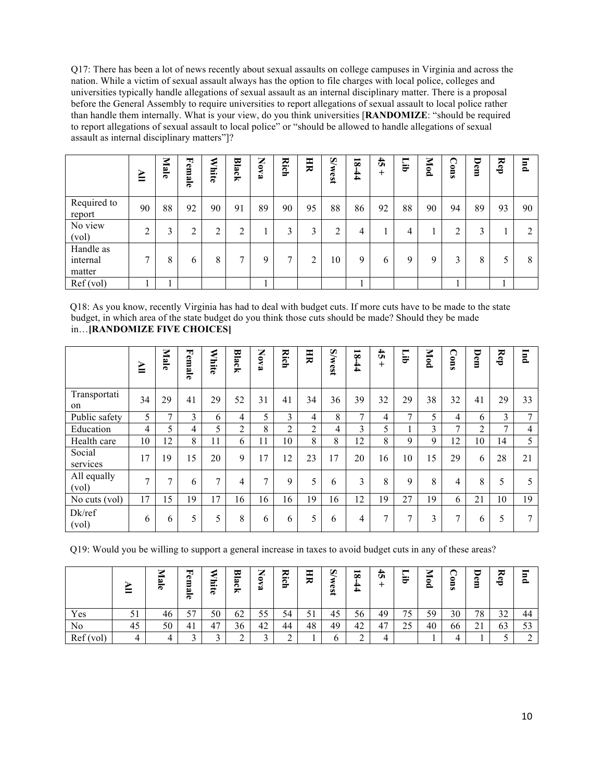Q17: There has been a lot of news recently about sexual assaults on college campuses in Virginia and across the nation. While a victim of sexual assault always has the option to file charges with local police, colleges and universities typically handle allegations of sexual assault as an internal disciplinary matter. There is a proposal before the General Assembly to require universities to report allegations of sexual assault to local police rather than handle them internally. What is your view, do you think universities [**RANDOMIZE**: "should be required to report allegations of sexual assault to local police" or "should be allowed to handle allegations of sexual assault as internal disciplinary matters"]?

|                                 | $\geq$       | Mal<br>ര | Ęe<br>Ë<br>ئغ<br>ਨ | ⋞<br>hite. | Black  | z<br><b>BAO</b> | Rich | HR | <b>S/west</b>     | $\overline{\mathbf{8}}$<br>$\bf{4}$ | $\ddot{t}$<br>$\mathrm{+}$ | ▬<br>₩ | Mod | Cons           | U<br>Φ<br>Β | Rep | JInd |
|---------------------------------|--------------|----------|--------------------|------------|--------|-----------------|------|----|-------------------|-------------------------------------|----------------------------|--------|-----|----------------|-------------|-----|------|
| Required to<br>report           | 90           | 88       | 92                 | 90         | 91     | 89              | 90   | 95 | 88                | 86                                  | 92                         | 88     | 90  | 94             | 89          | 93  | 90   |
| No view<br>(vol)                | ↑            | 3        | 2                  | າ<br>∠     | ◠<br>∠ |                 | 3    | 3  | <sup>1</sup><br>∠ | 4                                   |                            | 4      |     | 2              | 3           |     | 2    |
| Handle as<br>internal<br>matter | $\mathbf{r}$ | 8        | 6                  | 8          | ⇁      | 9               | ⇁    | 2  | 10                | 9                                   | b                          | 9      | 9   | $\mathfrak{Z}$ | 8           | 5   | 8    |
| Ref(vol)                        |              |          |                    |            |        |                 |      |    |                   |                                     |                            |        |     |                |             |     |      |

Q18: As you know, recently Virginia has had to deal with budget cuts. If more cuts have to be made to the state budget, in which area of the state budget do you think those cuts should be made? Should they be made in…**[RANDOMIZE FIVE CHOICES]**

|                      | ≧              | Male          | Female | ⋞<br>Thite     | Black          | Z<br><b>6Va</b> | Rich           | 買  | <b>S/west</b> | $18-44$       | $\ddot{5}$<br>$^{+}$ | Ēі            | Mod | ◠<br>suo | Dem | Rep | <b>Ind</b> |
|----------------------|----------------|---------------|--------|----------------|----------------|-----------------|----------------|----|---------------|---------------|----------------------|---------------|-----|----------|-----|-----|------------|
| Transportati<br>on   | 34             | 29            | 41     | 29             | 52             | 31              | 41             | 34 | 36            | 39            | 32                   | 29            | 38  | 32       | 41  | 29  | 33         |
| Public safety        | 5              | $\mathcal{I}$ | 3      | 6              | $\overline{4}$ | 5.              | 3              | 4  | 8             | $\mathcal{I}$ | 4                    | $\mathcal{I}$ | 5   | 4        | 6   | 3   | 7          |
| Education            | $\overline{4}$ | 5             | 4      | 5              | 2              | 8               | $\overline{2}$ | 2  | 4             | 3             | 5                    |               | 3   | $\tau$   | 2   | 7   | 4          |
| Health care          | 10             | 12            | 8      | 11             | 6              | 11              | 10             | 8  | 8             | 12            | 8                    | 9             | 9   | 12       | 10  | 14  | 5          |
| Social<br>services   | 17             | 19            | 15     | 20             | 9              | 17              | 12             | 23 | 17            | 20            | 16                   | 10            | 15  | 29       | 6   | 28  | 21         |
| All equally<br>(vol) | $\overline{ }$ | $\mathcal{I}$ | 6      | $\overline{7}$ | $\overline{4}$ | $\mathcal{I}$   | 9              | 5  | 6             | 3             | 8                    | 9             | 8   | 4        | 8   | 5   | 5          |
| No cuts (vol)        | 17             | 15            | 19     | 17             | 16             | 16              | 16             | 19 | 16            | 12            | 19                   | 27            | 19  | 6        | 21  | 10  | 19         |
| $Dk$ /ref<br>(vol)   | 6              | 6             | 5      | 5              | 8              | 6               | 6              | 5  | 6             | 4             | 7                    | $\mathbf{r}$  | 3   | 7        | 6   | 5   | 7          |

Q19: Would you be willing to support a general increase in taxes to avoid budget cuts in any of these areas?

|          | ᆖ  | ౚ  | ┳<br>o<br>Ξ<br>Z<br>ര | ರ್<br>--<br>ನ | ₩<br>-<br>٨n<br>౧<br>≂ | ⇁<br>▰<br>0<br>فط | ≂<br>$\blacksquare$<br>ణ<br>ಕ | т<br>≂ | S<br>est | −<br>$\infty$<br>r.<br>4 | 4<br>Ü | -<br>ಕ                         | ⇁<br>0<br>ء | ۰<br>5<br>٠ | ന<br>Ξ<br>∍                | ≂<br>Ð<br>≂  | ь<br>௨ |
|----------|----|----|-----------------------|---------------|------------------------|-------------------|-------------------------------|--------|----------|--------------------------|--------|--------------------------------|-------------|-------------|----------------------------|--------------|--------|
| Yes      | υı | 46 | 57                    | 50            | 62                     | 55                | 54                            | ◡      | 45       | 56                       | 49     | 75<br>$\overline{\phantom{a}}$ | 59          | 30          | 78                         | 32<br>ے ر    | 44     |
| No       | 45 | 50 | 41                    | 47            | 36                     | 42                | 44                            | 48     | 49       | 42                       | 47     | 25                             | 40          | 66          | $^{\circ}$ 1<br>$\angle 1$ | $\sim$<br>63 | 52     |
| Ref(vol) |    |    |                       | ◠             | ⌒<br>∸                 |                   |                               |        |          |                          |        |                                |             |             |                            |              |        |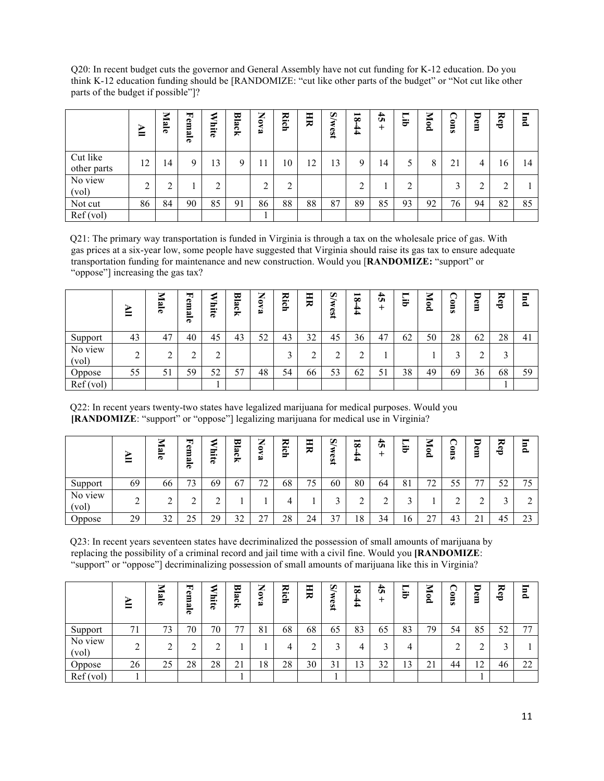Q20: In recent budget cuts the governor and General Assembly have not cut funding for K-12 education. Do you think K-12 education funding should be [RANDOMIZE: "cut like other parts of the budget" or "Not cut like other parts of the budget if possible"]?

|                         | ≧  | Male   | 围<br>em<br>≌<br>G | ю<br>ರ್<br>-<br>ਨ | 브<br>lack | ⇁<br>◢<br>$\boldsymbol{S}$<br>D | ≂<br>ich | 月  | <b>S/west</b> | $\overline{\mathbf{8}}$<br>44 | $\ddot{t}$<br>+ | $\blacksquare$<br>≒. | Mod | ∩<br>$\bullet$<br>₹ | U<br>e<br>Ξ | ≂<br>Ê | JInd |
|-------------------------|----|--------|-------------------|-------------------|-----------|---------------------------------|----------|----|---------------|-------------------------------|-----------------|----------------------|-----|---------------------|-------------|--------|------|
| Cut like<br>other parts | 12 | 14     | 9                 | 13                | Q         |                                 | 10       | 12 | 13            | 9                             | 14              |                      | 8   | 21                  | 4           | 16     | 14   |
| No view<br>(vol)        | ↑  | ◠<br>∠ |                   | ↑                 |           | ◠                               | ◠        |    |               | ◠                             |                 | ◠                    |     | 3                   | ◠<br>∠      | ◠      |      |
| Not cut                 | 86 | 84     | 90                | 85                | 91        | 86                              | 88       | 88 | 87            | 89                            | 85              | 93                   | 92  | 76                  | 94          | 82     | 85   |
| Ref(vol)                |    |        |                   |                   |           |                                 |          |    |               |                               |                 |                      |     |                     |             |        |      |

Q21: The primary way transportation is funded in Virginia is through a tax on the wholesale price of gas. With gas prices at a six-year low, some people have suggested that Virginia should raise its gas tax to ensure adequate transportation funding for maintenance and new construction. Would you [**RANDOMIZE:** "support" or "oppose"] increasing the gas tax?

|                  | ᆖ  | ⇁<br>Ċ.<br>$\ddot{\phantom{1}}$ | 围<br>Φ<br>Ξ<br>مە<br>ര | Ξ<br>-<br>ನ | ᄫ<br>B<br>౧<br>× | ⇁<br>▰<br>$\bullet$<br>ه | 짅<br>ౚ<br>≖ | 月  | Q<br>189 | ▬<br>$\infty$<br>N<br>4 | 4<br>Ü   | ▬<br>₩ | 7<br>కె<br>≏ | ◟<br>0<br>5<br>من | Φ<br>Ξ | ≂<br>È | F<br>$\bullet$ |
|------------------|----|---------------------------------|------------------------|-------------|------------------|--------------------------|-------------|----|----------|-------------------------|----------|--------|--------------|-------------------|--------|--------|----------------|
| Support          | 43 | 47                              | 40                     | 45          | 43               | 52                       | 43          | 32 | 45       | 36                      | 47       | 62     | 50           | 28                | 62     | 28     | 41             |
| No view<br>(vol) | ◠  | ◠<br>↵                          | $\overline{ }$         | ◠           |                  |                          | $\sqrt{2}$  |    |          |                         |          |        |              | ⌒                 |        | ◠      |                |
| Oppose           | 55 | 51                              | 59                     | くつ<br>ے ر   | 57               | 48                       | 54          | 66 | 53       | 62                      | 51<br>JІ | 38     | 49           | 69                | 36     | 68     | 59             |
| Ref(vol)         |    |                                 |                        |             |                  |                          |             |    |          |                         |          |        |              |                   |        |        |                |

Q22: In recent years twenty-two states have legalized marijuana for medical purposes. Would you **[RANDOMIZE**: "support" or "oppose"] legalizing marijuana for medical use in Virginia?

|                  | −  | هخ<br>ਨ | ᆋ<br>e<br>Ξ<br>∾<br>Õ | ⊷<br>−<br>Õ | ದ<br>$\overline{\phantom{a}}$<br>ڡ<br>౧<br>≂ | ⇁<br>▰<br>$\bullet$<br>قط | 짅<br>౧<br>≂ | 用  | S<br>s <sub>3</sub>                                   | ▬<br>$\infty$<br>4 | )}<br>Ü | U  | z<br>⋍<br>0<br>2 | ◟<br>0<br>5<br>من | Φ<br>Ξ | ≂<br>å    | $\overline{\mathbf{u}}$ |
|------------------|----|---------|-----------------------|-------------|----------------------------------------------|---------------------------|-------------|----|-------------------------------------------------------|--------------------|---------|----|------------------|-------------------|--------|-----------|-------------------------|
| Support          | 69 | 66      | 73                    | 69          | 67                                           | 72<br>∠                   | 68          | 75 | 60                                                    | 80                 | 64      | 81 | 72               | 55                | רת     | ເາ<br>ے ر | 75                      |
| No view<br>(vol) | ◠  | ⌒<br>∠  |                       | ◠           |                                              |                           |             |    |                                                       |                    | ◠       |    |                  | ◠                 |        |           | ◠<br>∠                  |
| Oppose           | 29 | 32      | 25                    | 29          | 32<br>ے ر                                    | າາ<br>∼                   | 28          | 24 | $\overline{\phantom{a}}$<br>$\ddot{\phantom{1}}$<br>╯ | 18                 | 34      | 16 | າາ<br>∠          | 43                | 21     | τω        | $\mathcal{L}$<br>23     |

Q23: In recent years seventeen states have decriminalized the possession of small amounts of marijuana by replacing the possibility of a criminal record and jail time with a civil fine. Would you **[RANDOMIZE**: "support" or "oppose"] decriminalizing possession of small amounts of marijuana like this in Virginia?

|                  | ₻<br>ᆖ      | ⇁<br>$\mathbf{a}$<br>ಕ | 뇌<br>e<br>Ξ<br>B<br>ౚ | ರ್<br>--<br>ನ | ₩<br>ه<br>ζk | ⇁<br>▰<br>۰<br>ھ | ≂<br>$\blacksquare$<br>ణ<br>$\overline{\phantom{a}}$ | 그<br>₩ | $\omega$<br>est | ▬<br>$\infty$<br>44 | 4<br>Ü<br>∸ | ▬<br>`<br>⊷<br>ಕ | 7<br>⇒<br>0<br>٥ | ⊓<br>≏<br>ω | J<br>o<br>Ξ     | ≂<br>å | $\overline{a}$<br>$\mathbf{\Omega}$ |
|------------------|-------------|------------------------|-----------------------|---------------|--------------|------------------|------------------------------------------------------|--------|-----------------|---------------------|-------------|------------------|------------------|-------------|-----------------|--------|-------------------------------------|
| Support          | 71          | 73                     | 70                    | 70            | 77           | 81               | 68                                                   | 68     | 65              | 83                  | 65          | 83               | 79               | 54          | 85              | 52     | 77                                  |
| No view<br>(vol) | $\sim$<br>∠ | ◠<br>∼                 | ⌒<br>∸                | ◠             |              |                  |                                                      |        |                 | 4                   |             | 4                |                  | ◠           | ⌒<br>↩          | c      |                                     |
| Oppose           | 26          | 25                     | 28                    | 28            | 21           | 18               | 28                                                   | 30     | ◠<br>ا د        | 1 ^<br>IJ           | 32          | 13               | 21               | 44          | $\sqrt{2}$<br>ے | 46     | 22                                  |
| Ref(vol)         |             |                        |                       |               |              |                  |                                                      |        |                 |                     |             |                  |                  |             |                 |        |                                     |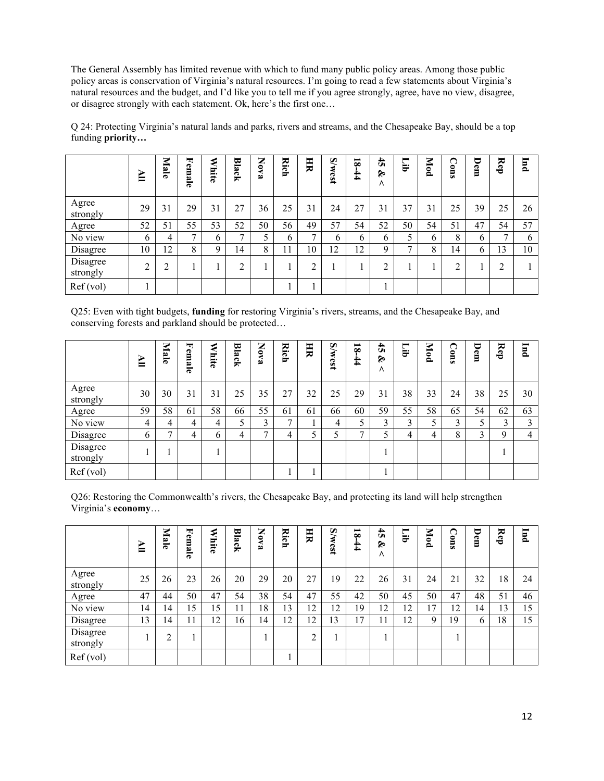The General Assembly has limited revenue with which to fund many public policy areas. Among those public policy areas is conservation of Virginia's natural resources. I'm going to read a few statements about Virginia's natural resources and the budget, and I'd like you to tell me if you agree strongly, agree, have no view, disagree, or disagree strongly with each statement. Ok, here's the first one…

|                      | ≧  | Male | Fem<br>ale    | ⋞<br>Ε.<br>ਨ | <b>Black</b>  | z<br>ă<br>ھ | 2<br>g | H  | <b>S/west</b> | $\overline{\mathbf{8}}$<br>44 | $\ddot{5}$<br>ৡ<br>٨ | $\blacksquare$<br>ਦੋ | Mod | ∩<br>0<br>ē | U<br>êm | Rep | <b>Ind</b> |
|----------------------|----|------|---------------|--------------|---------------|-------------|--------|----|---------------|-------------------------------|----------------------|----------------------|-----|-------------|---------|-----|------------|
| Agree<br>strongly    | 29 | 31   | 29            | 31           | 27            | 36          | 25     | 31 | 24            | 27                            | 31                   | 37                   | 31  | 25          | 39      | 25  | 26         |
| Agree                | 52 | 51   | 55            | 53           | 52            | 50          | 56     | 49 | 57            | 54                            | 52                   | 50                   | 54  | 51          | 47      | 54  | 57         |
| No view              | 6  | 4    | $\mathcal{L}$ | 6            | $\mathcal{I}$ |             | 6      | ⇁  | 6             | 6                             | 6                    | ς                    | 6   | 8           | 6       | ⇁   | 6          |
| Disagree             | 10 | 12   | 8             | 9            | 14            | 8           | 11     | 10 | 12            | 12                            | 9                    | $\mathbf{r}$         | 8   | 14          | 6       | 13  | 10         |
| Disagree<br>strongly | ◠  | ◠    |               |              | ◠             |             |        | ◠  |               |                               | ◠                    |                      |     | ↑           |         | ↑   |            |
| Ref (vol)            |    |      |               |              |               |             |        |    |               |                               |                      |                      |     |             |         |     |            |

Q 24: Protecting Virginia's natural lands and parks, rivers and streams, and the Chesapeake Bay, should be a top funding **priority…**

Q25: Even with tight budgets, **funding** for restoring Virginia's rivers, streams, and the Chesapeake Bay, and conserving forests and parkland should be protected…

|                      | ≧  | Male           | u,<br><sup>c</sup> emale | ರ<br>Ξ.<br>ਨ | Black | Nov<br>فع      | Rich | 月  | <b>S/west</b> | $\overline{\mathbf{8}}$<br>$\frac{4}{4}$ | $\ddot{t}$<br>&<br>$\Lambda$ | $\blacksquare$<br>Ę. | Mod | $\mathbf{C}$<br>ē | ∪<br>Φ<br>Ξ | ₩<br>Ê | Jnd |
|----------------------|----|----------------|--------------------------|--------------|-------|----------------|------|----|---------------|------------------------------------------|------------------------------|----------------------|-----|-------------------|-------------|--------|-----|
| Agree<br>strongly    | 30 | 30             | 31                       | 31           | 25    | 35             | 27   | 32 | 25            | 29                                       | 31                           | 38                   | 33  | 24                | 38          | 25     | 30  |
| Agree                | 59 | 58             | 61                       | 58           | 66    | 55             | 61   | 61 | 66            | 60                                       | 59                           | 55                   | 58  | 65                | 54          | 62     | 63  |
| No view              | 4  | 4              | 4                        | 4            | 5     | 3              | ⇁    |    | 4             |                                          | 3                            | 3                    | 5   | 3                 | 5           | 3      | 3   |
| Disagree             | b  | $\overline{ }$ | 4                        | 6            | 4     | $\overline{ }$ | 4    | 5  |               | $\mathbf{r}$                             |                              | 4                    | 4   | 8                 | 3           | Q      | 4   |
| Disagree<br>strongly |    |                |                          |              |       |                |      |    |               |                                          |                              |                      |     |                   |             |        |     |
| Ref (vol)            |    |                |                          |              |       |                |      |    |               |                                          |                              |                      |     |                   |             |        |     |

Q26: Restoring the Commonwealth's rivers, the Chesapeake Bay, and protecting its land will help strengthen Virginia's **economy**…

|                      | ≧  | Male   | 뇌<br>emale | ರ್<br>Ë. | <b>Black</b> | Nov<br>ھ | <b>Rich</b> | 月  | <b>S/west</b> | $\overline{\mathbf{8}}$<br>44 | $\ddot{5}$<br>É<br>Λ | Ēі | Mod | $\Omega$<br>Ē | ᇦ<br>Ð<br>Ξ | ₩<br>$\sigma$<br>÷ | $\blacksquare$<br>۹ |
|----------------------|----|--------|------------|----------|--------------|----------|-------------|----|---------------|-------------------------------|----------------------|----|-----|---------------|-------------|--------------------|---------------------|
| Agree<br>strongly    | 25 | 26     | 23         | 26       | 20           | 29       | 20          | 27 | 19            | 22                            | 26                   | 31 | 24  | 21            | 32          | 18                 | 24                  |
| Agree                | 47 | 44     | 50         | 47       | 54           | 38       | 54          | 47 | 55            | 42                            | 50                   | 45 | 50  | 47            | 48          | 51                 | 46                  |
| No view              | 14 | 14     | 15         | 15       | 11           | 18       | 13          | 12 | 12            | 19                            | 12                   | 12 | 17  | 12            | 14          | 13                 | 15                  |
| Disagree             | 13 | 14     | 11         | 12       | 16           | 14       | 12          | 12 | 13            | 17                            | 11                   | 12 | 9   | 19            | 6           | 18                 | 15                  |
| Disagree<br>strongly |    | ◠<br>∠ |            |          |              |          |             | ◠  |               |                               |                      |    |     |               |             |                    |                     |
| Ref (vol)            |    |        |            |          |              |          |             |    |               |                               |                      |    |     |               |             |                    |                     |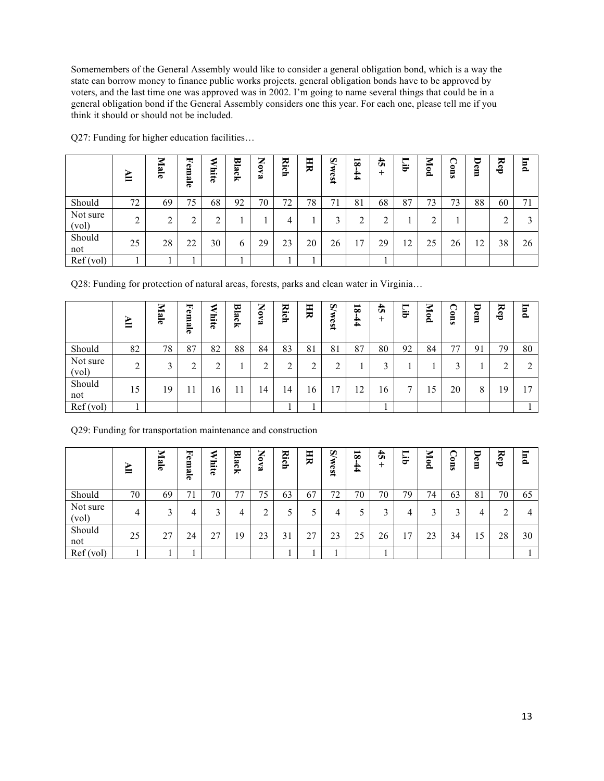Somemembers of the General Assembly would like to consider a general obligation bond, which is a way the state can borrow money to finance public works projects. general obligation bonds have to be approved by voters, and the last time one was approved was in 2002. I'm going to name several things that could be in a general obligation bond if the General Assembly considers one this year. For each one, please tell me if you think it should or should not be included.

|                   | $\mathbf{F}$   | Male   | 뇌<br>em<br>ھ<br>$\overline{\sigma}$ | ≋<br>liite | <b>Black</b> | ⇁<br>◢<br>$\bullet$<br>⋖<br>فع | 2<br><b>S</b> | HR | $\mathbf{W}$<br>189 | $\overline{\mathbf{8}}$<br>44 | $\ddot{t}$<br>+ | −<br>ਦੋ | Mod | ◠<br>0<br>ь<br>من | ರ<br>Φ<br>Ξ | ≂<br>Ê | <b>Ind</b> |
|-------------------|----------------|--------|-------------------------------------|------------|--------------|--------------------------------|---------------|----|---------------------|-------------------------------|-----------------|---------|-----|-------------------|-------------|--------|------------|
| Should            | 72             | 69     | 75                                  | 68         | 92           | 70                             | 72            | 78 | 71                  | 81                            | 68              | 87      | 73  | 73                | 88          | 60     | 71         |
| Not sure<br>(vol) | $\bigcap$<br>∠ | ◠<br>∠ | ◠                                   | ↑          |              |                                | 4             |    | ∍                   | ◠                             |                 |         | ◠   |                   |             |        | 3          |
| Should<br>not     | 25             | 28     | 22                                  | 30         | 6            | 29                             | 23            | 20 | 26                  | 17                            | 29              | 12      | 25  | 26                | 12          | 38     | 26         |
| Ref(vol)          |                |        |                                     |            |              |                                |               |    |                     |                               |                 |         |     |                   |             |        |            |

Q27: Funding for higher education facilities…

Q28: Funding for protection of natural areas, forests, parks and clean water in Virginia…

|                   | ⋗<br>ᆖ | ◛<br>Iale | 퇴<br>em<br>B<br>$\overline{\sigma}$ | ٤<br>$\mathbf{r}$<br>iite | 멷<br>ئع<br>čķ | ⇁<br>◢<br><b>BAO</b> | ≂<br>i <u>c</u> h | 크  | $\widetilde{\mathbf{S}}$<br>West | $\overline{\mathbf{8}}$<br>$\sharp$ | 4<br>Ü<br>∸ | ▬<br>È | Z<br>$\overline{P}$ | ◠<br>0<br>من | U<br>em | ≂<br>È | <b>Ind</b> |
|-------------------|--------|-----------|-------------------------------------|---------------------------|---------------|----------------------|-------------------|----|----------------------------------|-------------------------------------|-------------|--------|---------------------|--------------|---------|--------|------------|
| Should            | 82     | 78        | 87                                  | 82                        | 88            | 84                   | 83                | 81 | 81                               | 87                                  | 80          | 92     | 84                  | 77           | 91      | 79     | 80         |
| Not sure<br>(vol) | ◠      | ◠<br>Ć    | ◠<br>∠                              | ◠                         |               |                      | ◠                 | ◠  | ◠                                |                                     | $\bigcap$   |        |                     | $\bigcap$    |         | ∠      | 2          |
| Should<br>not     | 15     | 19        | 11                                  | .6                        |               | 14                   | 14                | 16 | 17                               | 12                                  | 16          | ⇁      | 15                  | 20           | 8       | 19     | 17         |
| Ref(vol)          |        |           |                                     |                           |               |                      |                   |    |                                  |                                     |             |        |                     |              |         |        |            |

Q29: Funding for transportation maintenance and construction

|                   | ≧  | ≂<br>lale | Fem<br>B<br>œ | Ε.<br>$\vec{a}$ | <b>Black</b> | Nov<br>فع | ≂<br>⊨.<br>$\mathbf{S}$ | H                   | <b>S/west</b> | $\overline{\mathbf{8}}$<br>$\bf{4}$ | $\frac{4}{5}$<br>+ | ▬<br>ਦੋ | Mod          | ∩<br>0<br>Ξ<br>من | U<br>Φ<br>Ε | ≂<br>e<br>Ö | $\overline{a}$<br>≏ |
|-------------------|----|-----------|---------------|-----------------|--------------|-----------|-------------------------|---------------------|---------------|-------------------------------------|--------------------|---------|--------------|-------------------|-------------|-------------|---------------------|
| Should            | 70 | 69        | 71            | 70              | 77           | 75        | 63                      | 67                  | 72            | 70                                  | 70                 | 79      | 74           | 63                | 81          | 70          | 65                  |
| Not sure<br>(vol) | 4  | 3         | 4             | $\mathbf{R}$    | 4            |           |                         |                     | 4             |                                     | $\mathbf{\Omega}$  | 4       | $\mathbf{3}$ | 3                 | 4           | ◠           | 4                   |
| Should<br>not     | 25 | 27        | 24            | 27              | 19           | 23        | 31                      | າາ<br>$\mathcal{L}$ | 23            | 25                                  | 26                 | 17      | 23           | 34                | 15          | 28          | 30                  |
| Ref(vol)          |    |           |               |                 |              |           |                         |                     |               |                                     |                    |         |              |                   |             |             |                     |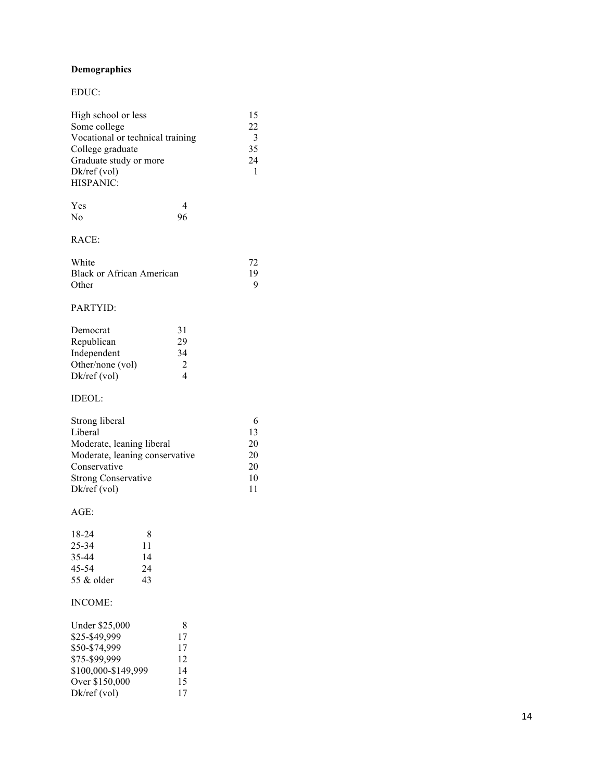### **Demographics**

#### EDUC:

| High school or less              | 15           |
|----------------------------------|--------------|
| Some college                     | 22           |
| Vocational or technical training | $\mathbf{R}$ |
| College graduate                 | 35           |
| Graduate study or more           | 24           |
| Dk/ref(vol)                      |              |
| HISPANIC:                        |              |
|                                  |              |

| Yes            | 4  |
|----------------|----|
| N <sub>0</sub> | 96 |

## RACE:

| White                            | 72 |
|----------------------------------|----|
| <b>Black or African American</b> | 19 |
| Other                            | Q  |

## PARTYID:

| Democrat         | 31                          |
|------------------|-----------------------------|
| Republican       | 29                          |
| Independent      | 34                          |
| Other/none (vol) | $\mathcal{D}_{\mathcal{A}}$ |
| $Dk$ /ref (vol)  |                             |

### IDEOL:

| Strong liberal                 |    |
|--------------------------------|----|
| Liberal                        | 13 |
| Moderate, leaning liberal      | 20 |
| Moderate, leaning conservative | 20 |
| Conservative                   | 20 |
| <b>Strong Conservative</b>     | 10 |
| $Dk$ /ref (vol)                | 11 |

#### AGE:

| 18-24        | 8  |
|--------------|----|
| 25-34        | 11 |
| 35-44        | 14 |
| 45-54        | 24 |
| 55 $&$ older | 43 |

### INCOME:

| Under \$25,000      | 8  |
|---------------------|----|
| \$25-\$49,999       | 17 |
| \$50-\$74,999       | 17 |
| \$75-\$99,999       | 12 |
| \$100,000-\$149,999 | 14 |
| Over \$150,000      | 15 |
| $Dk$ /ref $(vol)$   | 17 |